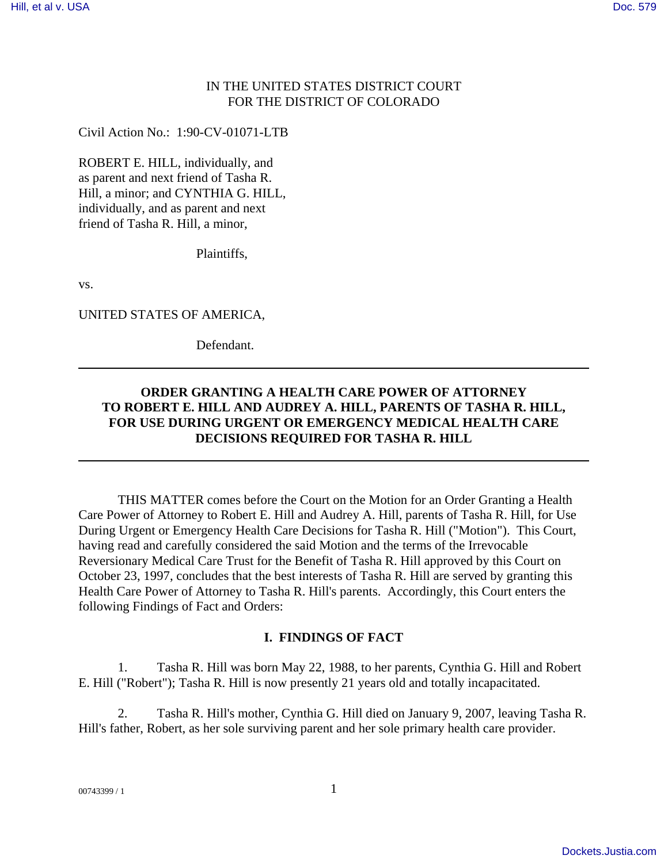### IN THE UNITED STATES DISTRICT COURT FOR THE DISTRICT OF COLORADO

Civil Action No.: 1:90-CV-01071-LTB

ROBERT E. HILL, individually, and as parent and next friend of Tasha R. Hill, a minor; and CYNTHIA G. HILL, individually, and as parent and next friend of Tasha R. Hill, a minor,

Plaintiffs,

vs.

UNITED STATES OF AMERICA,

Defendant.

## **ORDER GRANTING A HEALTH CARE POWER OF ATTORNEY TO ROBERT E. HILL AND AUDREY A. HILL, PARENTS OF TASHA R. HILL, FOR USE DURING URGENT OR EMERGENCY MEDICAL HEALTH CARE DECISIONS REQUIRED FOR TASHA R. HILL**

THIS MATTER comes before the Court on the Motion for an Order Granting a Health Care Power of Attorney to Robert E. Hill and Audrey A. Hill, parents of Tasha R. Hill, for Use During Urgent or Emergency Health Care Decisions for Tasha R. Hill ("Motion"). This Court, having read and carefully considered the said Motion and the terms of the Irrevocable Reversionary Medical Care Trust for the Benefit of Tasha R. Hill approved by this Court on October 23, 1997, concludes that the best interests of Tasha R. Hill are served by granting this Health Care Power of Attorney to Tasha R. Hill's parents. Accordingly, this Court enters the following Findings of Fact and Orders:

#### **I. FINDINGS OF FACT**

1. Tasha R. Hill was born May 22, 1988, to her parents, Cynthia G. Hill and Robert E. Hill ("Robert"); Tasha R. Hill is now presently 21 years old and totally incapacitated.

2. Tasha R. Hill's mother, Cynthia G. Hill died on January 9, 2007, leaving Tasha R. Hill's father, Robert, as her sole surviving parent and her sole primary health care provider.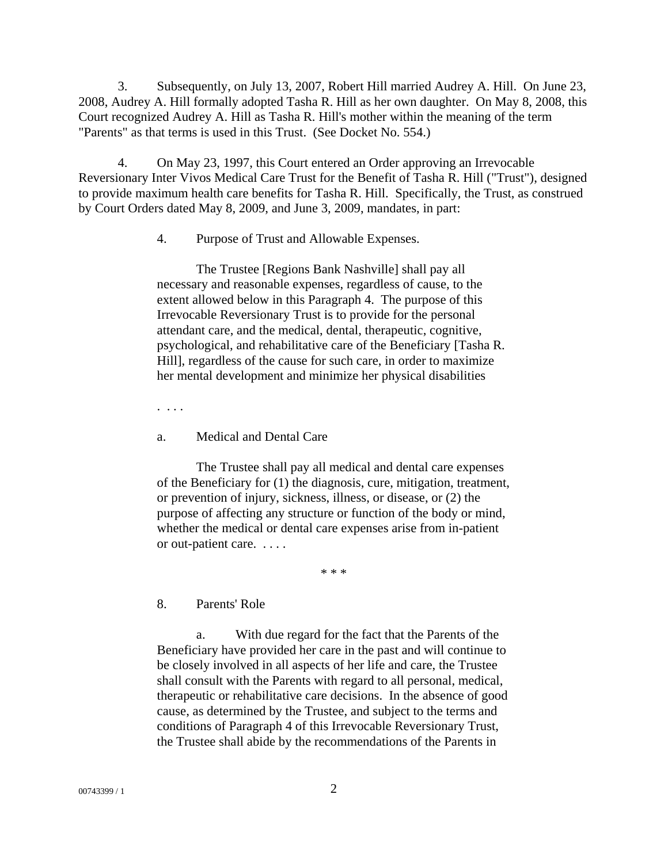3. Subsequently, on July 13, 2007, Robert Hill married Audrey A. Hill. On June 23, 2008, Audrey A. Hill formally adopted Tasha R. Hill as her own daughter. On May 8, 2008, this Court recognized Audrey A. Hill as Tasha R. Hill's mother within the meaning of the term "Parents" as that terms is used in this Trust. (See Docket No. 554.)

4. On May 23, 1997, this Court entered an Order approving an Irrevocable Reversionary Inter Vivos Medical Care Trust for the Benefit of Tasha R. Hill ("Trust"), designed to provide maximum health care benefits for Tasha R. Hill. Specifically, the Trust, as construed by Court Orders dated May 8, 2009, and June 3, 2009, mandates, in part:

4. Purpose of Trust and Allowable Expenses.

The Trustee [Regions Bank Nashville] shall pay all necessary and reasonable expenses, regardless of cause, to the extent allowed below in this Paragraph 4. The purpose of this Irrevocable Reversionary Trust is to provide for the personal attendant care, and the medical, dental, therapeutic, cognitive, psychological, and rehabilitative care of the Beneficiary [Tasha R. Hill], regardless of the cause for such care, in order to maximize her mental development and minimize her physical disabilities

. . . .

a. Medical and Dental Care

The Trustee shall pay all medical and dental care expenses of the Beneficiary for (1) the diagnosis, cure, mitigation, treatment, or prevention of injury, sickness, illness, or disease, or (2) the purpose of affecting any structure or function of the body or mind, whether the medical or dental care expenses arise from in-patient or out-patient care. . . . .

\* \* \*

8. Parents' Role

a. With due regard for the fact that the Parents of the Beneficiary have provided her care in the past and will continue to be closely involved in all aspects of her life and care, the Trustee shall consult with the Parents with regard to all personal, medical, therapeutic or rehabilitative care decisions. In the absence of good cause, as determined by the Trustee, and subject to the terms and conditions of Paragraph 4 of this Irrevocable Reversionary Trust, the Trustee shall abide by the recommendations of the Parents in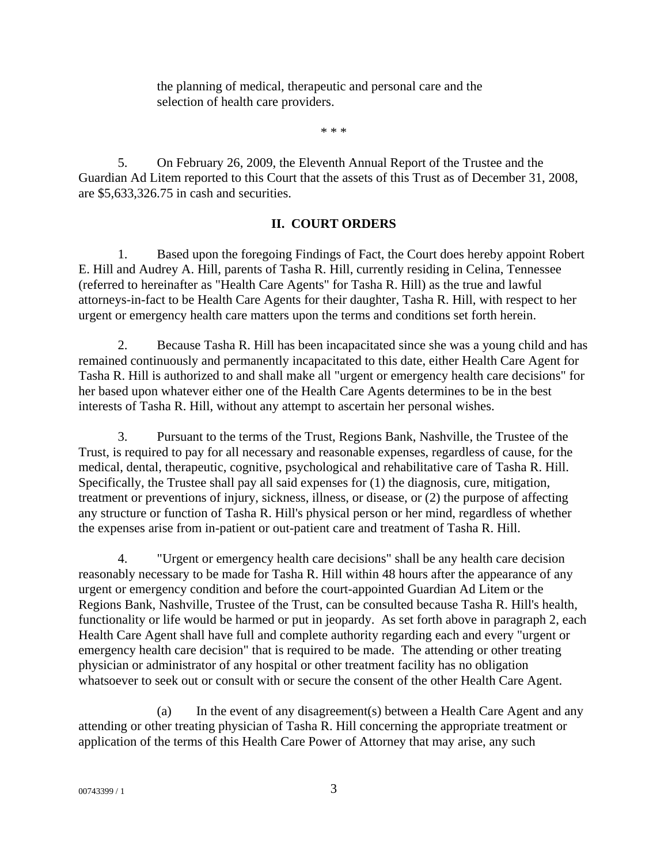the planning of medical, therapeutic and personal care and the selection of health care providers.

\* \* \*

5. On February 26, 2009, the Eleventh Annual Report of the Trustee and the Guardian Ad Litem reported to this Court that the assets of this Trust as of December 31, 2008, are \$5,633,326.75 in cash and securities.

# **II. COURT ORDERS**

1. Based upon the foregoing Findings of Fact, the Court does hereby appoint Robert E. Hill and Audrey A. Hill, parents of Tasha R. Hill, currently residing in Celina, Tennessee (referred to hereinafter as "Health Care Agents" for Tasha R. Hill) as the true and lawful attorneys-in-fact to be Health Care Agents for their daughter, Tasha R. Hill, with respect to her urgent or emergency health care matters upon the terms and conditions set forth herein.

2. Because Tasha R. Hill has been incapacitated since she was a young child and has remained continuously and permanently incapacitated to this date, either Health Care Agent for Tasha R. Hill is authorized to and shall make all "urgent or emergency health care decisions" for her based upon whatever either one of the Health Care Agents determines to be in the best interests of Tasha R. Hill, without any attempt to ascertain her personal wishes.

3. Pursuant to the terms of the Trust, Regions Bank, Nashville, the Trustee of the Trust, is required to pay for all necessary and reasonable expenses, regardless of cause, for the medical, dental, therapeutic, cognitive, psychological and rehabilitative care of Tasha R. Hill. Specifically, the Trustee shall pay all said expenses for (1) the diagnosis, cure, mitigation, treatment or preventions of injury, sickness, illness, or disease, or (2) the purpose of affecting any structure or function of Tasha R. Hill's physical person or her mind, regardless of whether the expenses arise from in-patient or out-patient care and treatment of Tasha R. Hill.

4. "Urgent or emergency health care decisions" shall be any health care decision reasonably necessary to be made for Tasha R. Hill within 48 hours after the appearance of any urgent or emergency condition and before the court-appointed Guardian Ad Litem or the Regions Bank, Nashville, Trustee of the Trust, can be consulted because Tasha R. Hill's health, functionality or life would be harmed or put in jeopardy. As set forth above in paragraph 2, each Health Care Agent shall have full and complete authority regarding each and every "urgent or emergency health care decision" that is required to be made. The attending or other treating physician or administrator of any hospital or other treatment facility has no obligation whatsoever to seek out or consult with or secure the consent of the other Health Care Agent.

(a) In the event of any disagreement(s) between a Health Care Agent and any attending or other treating physician of Tasha R. Hill concerning the appropriate treatment or application of the terms of this Health Care Power of Attorney that may arise, any such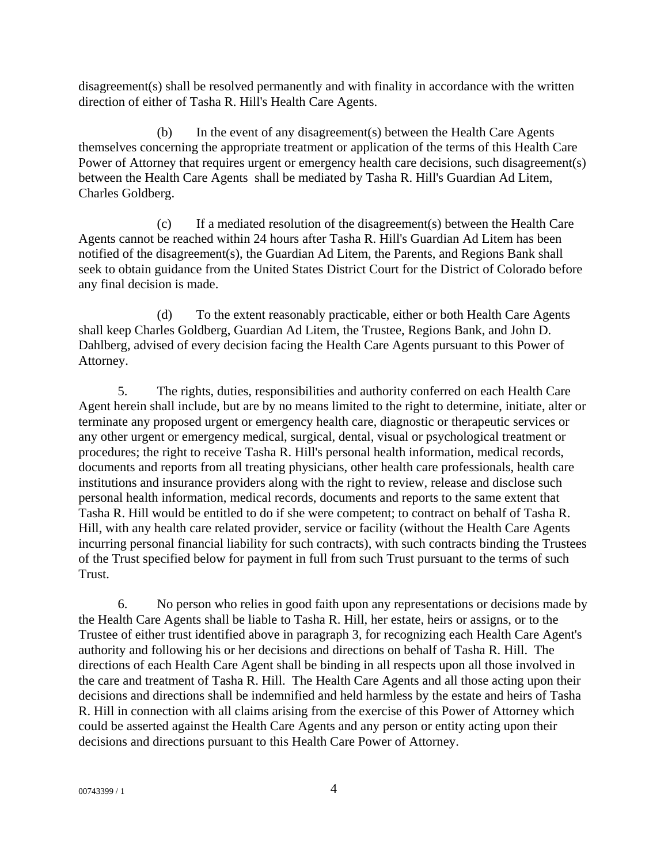disagreement(s) shall be resolved permanently and with finality in accordance with the written direction of either of Tasha R. Hill's Health Care Agents.

(b) In the event of any disagreement(s) between the Health Care Agents themselves concerning the appropriate treatment or application of the terms of this Health Care Power of Attorney that requires urgent or emergency health care decisions, such disagreement(s) between the Health Care Agents shall be mediated by Tasha R. Hill's Guardian Ad Litem, Charles Goldberg.

(c) If a mediated resolution of the disagreement(s) between the Health Care Agents cannot be reached within 24 hours after Tasha R. Hill's Guardian Ad Litem has been notified of the disagreement(s), the Guardian Ad Litem, the Parents, and Regions Bank shall seek to obtain guidance from the United States District Court for the District of Colorado before any final decision is made.

(d) To the extent reasonably practicable, either or both Health Care Agents shall keep Charles Goldberg, Guardian Ad Litem, the Trustee, Regions Bank, and John D. Dahlberg, advised of every decision facing the Health Care Agents pursuant to this Power of Attorney.

5. The rights, duties, responsibilities and authority conferred on each Health Care Agent herein shall include, but are by no means limited to the right to determine, initiate, alter or terminate any proposed urgent or emergency health care, diagnostic or therapeutic services or any other urgent or emergency medical, surgical, dental, visual or psychological treatment or procedures; the right to receive Tasha R. Hill's personal health information, medical records, documents and reports from all treating physicians, other health care professionals, health care institutions and insurance providers along with the right to review, release and disclose such personal health information, medical records, documents and reports to the same extent that Tasha R. Hill would be entitled to do if she were competent; to contract on behalf of Tasha R. Hill, with any health care related provider, service or facility (without the Health Care Agents incurring personal financial liability for such contracts), with such contracts binding the Trustees of the Trust specified below for payment in full from such Trust pursuant to the terms of such Trust.

6. No person who relies in good faith upon any representations or decisions made by the Health Care Agents shall be liable to Tasha R. Hill, her estate, heirs or assigns, or to the Trustee of either trust identified above in paragraph 3, for recognizing each Health Care Agent's authority and following his or her decisions and directions on behalf of Tasha R. Hill. The directions of each Health Care Agent shall be binding in all respects upon all those involved in the care and treatment of Tasha R. Hill. The Health Care Agents and all those acting upon their decisions and directions shall be indemnified and held harmless by the estate and heirs of Tasha R. Hill in connection with all claims arising from the exercise of this Power of Attorney which could be asserted against the Health Care Agents and any person or entity acting upon their decisions and directions pursuant to this Health Care Power of Attorney.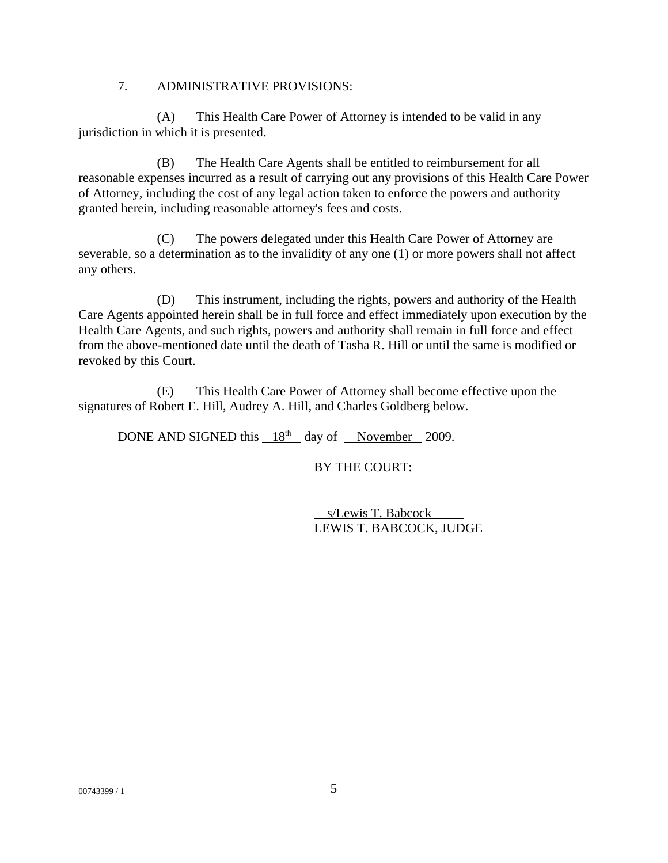## 7. ADMINISTRATIVE PROVISIONS:

(A) This Health Care Power of Attorney is intended to be valid in any jurisdiction in which it is presented.

(B) The Health Care Agents shall be entitled to reimbursement for all reasonable expenses incurred as a result of carrying out any provisions of this Health Care Power of Attorney, including the cost of any legal action taken to enforce the powers and authority granted herein, including reasonable attorney's fees and costs.

(C) The powers delegated under this Health Care Power of Attorney are severable, so a determination as to the invalidity of any one (1) or more powers shall not affect any others.

(D) This instrument, including the rights, powers and authority of the Health Care Agents appointed herein shall be in full force and effect immediately upon execution by the Health Care Agents, and such rights, powers and authority shall remain in full force and effect from the above-mentioned date until the death of Tasha R. Hill or until the same is modified or revoked by this Court.

(E) This Health Care Power of Attorney shall become effective upon the signatures of Robert E. Hill, Audrey A. Hill, and Charles Goldberg below.

DONE AND SIGNED this  $18<sup>th</sup>$  day of November 2009.

BY THE COURT:

 s/Lewis T. Babcock LEWIS T. BABCOCK, JUDGE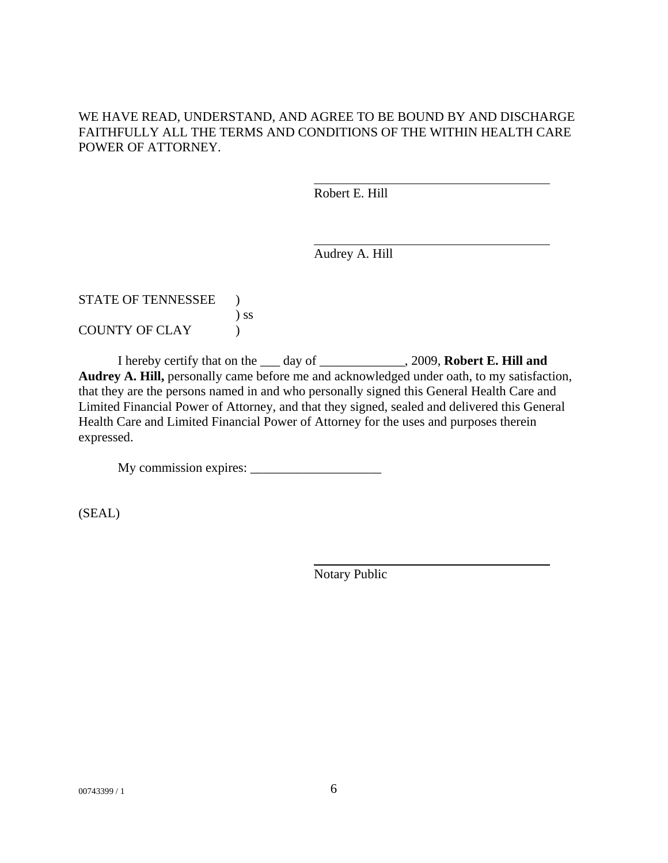## WE HAVE READ, UNDERSTAND, AND AGREE TO BE BOUND BY AND DISCHARGE FAITHFULLY ALL THE TERMS AND CONDITIONS OF THE WITHIN HEALTH CARE POWER OF ATTORNEY.

Robert E. Hill

Audrey A. Hill

| STATE OF TENNESSEE    |        |
|-----------------------|--------|
|                       | $\sum$ |
| <b>COUNTY OF CLAY</b> |        |

I hereby certify that on the \_\_\_ day of \_\_\_\_\_\_\_\_\_\_\_\_\_, 2009, **Robert E. Hill and Audrey A. Hill,** personally came before me and acknowledged under oath, to my satisfaction, that they are the persons named in and who personally signed this General Health Care and Limited Financial Power of Attorney, and that they signed, sealed and delivered this General Health Care and Limited Financial Power of Attorney for the uses and purposes therein expressed.

My commission expires: \_\_\_\_\_\_\_\_\_\_\_\_\_\_\_\_\_\_\_\_

(SEAL)

Notary Public